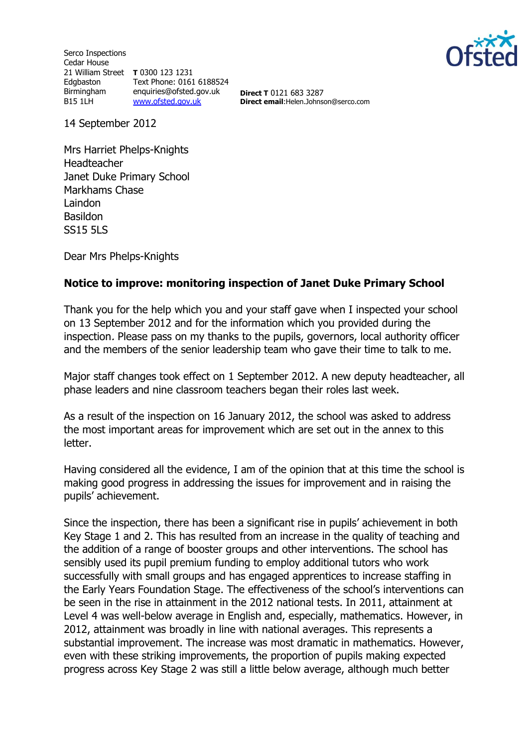Serco Inspections Cedar House 21 William Street **T** 0300 123 1231 Edgbaston Birmingham B15 1LH Text Phone: 0161 6188524 enquiries@ofsted.gov.uk [www.ofsted.gov.uk](http://www.ofsted.gov.uk/)



**Direct T** 0121 683 3287 **Direct email**:Helen.Johnson@serco.com

14 September 2012

Mrs Harriet Phelps-Knights Headteacher Janet Duke Primary School Markhams Chase Laindon Basildon SS15 5LS

Dear Mrs Phelps-Knights

## **Notice to improve: monitoring inspection of Janet Duke Primary School**

Thank you for the help which you and your staff gave when I inspected your school on 13 September 2012 and for the information which you provided during the inspection. Please pass on my thanks to the pupils, governors, local authority officer and the members of the senior leadership team who gave their time to talk to me.

Major staff changes took effect on 1 September 2012. A new deputy headteacher, all phase leaders and nine classroom teachers began their roles last week.

As a result of the inspection on 16 January 2012, the school was asked to address the most important areas for improvement which are set out in the annex to this letter.

Having considered all the evidence, I am of the opinion that at this time the school is making good progress in addressing the issues for improvement and in raising the pupils' achievement.

Since the inspection, there has been a significant rise in pupils' achievement in both Key Stage 1 and 2. This has resulted from an increase in the quality of teaching and the addition of a range of booster groups and other interventions. The school has sensibly used its pupil premium funding to employ additional tutors who work successfully with small groups and has engaged apprentices to increase staffing in the Early Years Foundation Stage. The effectiveness of the school's interventions can be seen in the rise in attainment in the 2012 national tests. In 2011, attainment at Level 4 was well-below average in English and, especially, mathematics. However, in 2012, attainment was broadly in line with national averages. This represents a substantial improvement. The increase was most dramatic in mathematics. However, even with these striking improvements, the proportion of pupils making expected progress across Key Stage 2 was still a little below average, although much better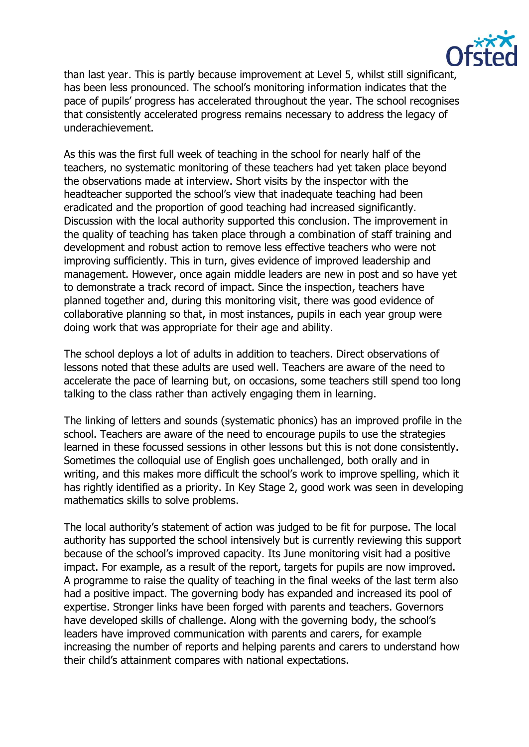

than last year. This is partly because improvement at Level 5, whilst still significant, has been less pronounced. The school's monitoring information indicates that the pace of pupils' progress has accelerated throughout the year. The school recognises that consistently accelerated progress remains necessary to address the legacy of underachievement.

As this was the first full week of teaching in the school for nearly half of the teachers, no systematic monitoring of these teachers had yet taken place beyond the observations made at interview. Short visits by the inspector with the headteacher supported the school's view that inadequate teaching had been eradicated and the proportion of good teaching had increased significantly. Discussion with the local authority supported this conclusion. The improvement in the quality of teaching has taken place through a combination of staff training and development and robust action to remove less effective teachers who were not improving sufficiently. This in turn, gives evidence of improved leadership and management. However, once again middle leaders are new in post and so have yet to demonstrate a track record of impact. Since the inspection, teachers have planned together and, during this monitoring visit, there was good evidence of collaborative planning so that, in most instances, pupils in each year group were doing work that was appropriate for their age and ability.

The school deploys a lot of adults in addition to teachers. Direct observations of lessons noted that these adults are used well. Teachers are aware of the need to accelerate the pace of learning but, on occasions, some teachers still spend too long talking to the class rather than actively engaging them in learning.

The linking of letters and sounds (systematic phonics) has an improved profile in the school. Teachers are aware of the need to encourage pupils to use the strategies learned in these focussed sessions in other lessons but this is not done consistently. Sometimes the colloquial use of English goes unchallenged, both orally and in writing, and this makes more difficult the school's work to improve spelling, which it has rightly identified as a priority. In Key Stage 2, good work was seen in developing mathematics skills to solve problems.

The local authority's statement of action was judged to be fit for purpose. The local authority has supported the school intensively but is currently reviewing this support because of the school's improved capacity. Its June monitoring visit had a positive impact. For example, as a result of the report, targets for pupils are now improved. A programme to raise the quality of teaching in the final weeks of the last term also had a positive impact. The governing body has expanded and increased its pool of expertise. Stronger links have been forged with parents and teachers. Governors have developed skills of challenge. Along with the governing body, the school's leaders have improved communication with parents and carers, for example increasing the number of reports and helping parents and carers to understand how their child's attainment compares with national expectations.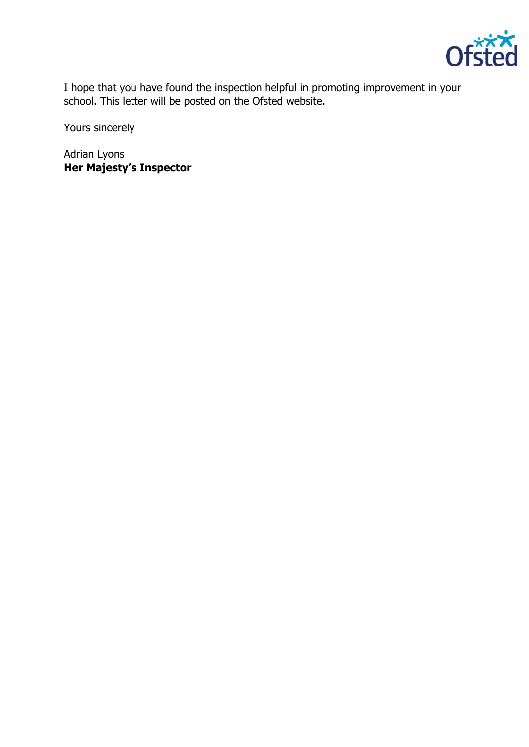

I hope that you have found the inspection helpful in promoting improvement in your school. This letter will be posted on the Ofsted website.

Yours sincerely

Adrian Lyons **Her Majesty's Inspector**